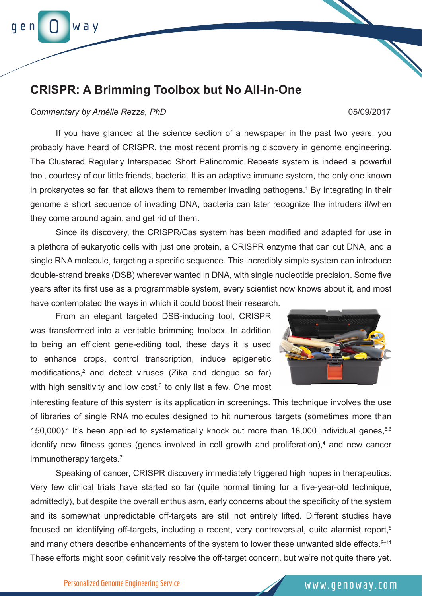

## **CRISPR: A Brimming Toolbox but No All-in-One**

## *Commentary by Amélie Rezza, PhD* 05/09/2017

If you have glanced at the science section of a newspaper in the past two years, you probably have heard of CRISPR, the most recent promising discovery in genome engineering. The Clustered Regularly Interspaced Short Palindromic Repeats system is indeed a powerful tool, courtesy of our little friends, bacteria. It is an adaptive immune system, the only one known in prokaryotes so far, that allows them to remember invading pathogens.<sup>1</sup> By integrating in their genome a short sequence of invading DNA, bacteria can later recognize the intruders if/when they come around again, and get rid of them.

Since its discovery, the CRISPR/Cas system has been modified and adapted for use in a plethora of eukaryotic cells with just one protein, a CRISPR enzyme that can cut DNA, and a single RNA molecule, targeting a specific sequence. This incredibly simple system can introduce double-strand breaks (DSB) wherever wanted in DNA, with single nucleotide precision. Some five years after its first use as a programmable system, every scientist now knows about it, and most have contemplated the ways in which it could boost their research.

From an elegant targeted DSB-inducing tool, CRISPR was transformed into a veritable brimming toolbox. In addition to being an efficient gene-editing tool, these days it is used to enhance crops, control transcription, induce epigenetic modifications,<sup>2</sup> and detect viruses (Zika and dengue so far) with high sensitivity and low cost, $3$  to only list a few. One most



interesting feature of this system is its application in screenings. This technique involves the use of libraries of single RNA molecules designed to hit numerous targets (sometimes more than 150,000).<sup>4</sup> It's been applied to systematically knock out more than 18,000 individual genes,<sup>5,6</sup> identify new fitness genes (genes involved in cell growth and proliferation),<sup>4</sup> and new cancer immunotherapy targets.<sup>7</sup>

Speaking of cancer, CRISPR discovery immediately triggered high hopes in therapeutics. Very few clinical trials have started so far (quite normal timing for a five-year-old technique, admittedly), but despite the overall enthusiasm, early concerns about the specificity of the system and its somewhat unpredictable off-targets are still not entirely lifted. Different studies have focused on identifying off-targets, including a recent, very controversial, quite alarmist report,<sup>8</sup> and many others describe enhancements of the system to lower these unwanted side effects. 9-11 These efforts might soon definitively resolve the off-target concern, but we're not quite there yet.